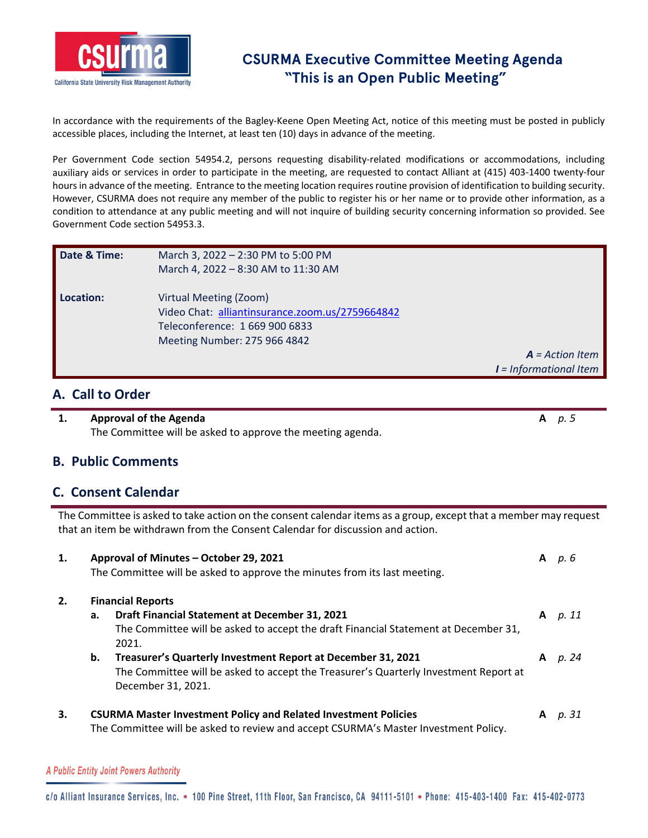

In accordance with the requirements of the Bagley‐Keene Open Meeting Act, notice of this meeting must be posted in publicly accessible places, including the Internet, at least ten (10) days in advance of the meeting.

Per Government Code section 54954.2, persons requesting disability-related modifications or accommodations, including auxiliary aids or services in order to participate in the meeting, are requested to contact Alliant at (415) 403‐1400 twenty‐four hours in advance of the meeting. Entrance to the meeting location requires routine provision of identification to building security. However, CSURMA does not require any member of the public to register his or her name or to provide other information, as a condition to attendance at any public meeting and will not inquire of building security concerning information so provided. See Government Code section 54953.3.

| Date & Time: | March 3, 2022 - 2:30 PM to 5:00 PM<br>March 4, 2022 - 8:30 AM to 11:30 AM                                                                   |                          |
|--------------|---------------------------------------------------------------------------------------------------------------------------------------------|--------------------------|
| Location:    | Virtual Meeting (Zoom)<br>Video Chat: alliantinsurance.zoom.us/2759664842<br>Teleconference: 1 669 900 6833<br>Meeting Number: 275 966 4842 |                          |
|              |                                                                                                                                             | $A = Action Item$        |
|              |                                                                                                                                             | $I = Informational$ Item |

### **A. Call to Order**

**1. Approval of the Agenda A** *p. 5* The Committee will be asked to approve the meeting agenda.

### **B. Public Comments**

### **C. Consent Calendar**

The Committee is asked to take action on the consent calendar items as a group, except that a member may request that an item be withdrawn from the Consent Calendar for discussion and action.

| 1. |    | Approval of Minutes – October 29, 2021<br>The Committee will be asked to approve the minutes from its last meeting. | A | р. 6    |
|----|----|---------------------------------------------------------------------------------------------------------------------|---|---------|
| 2. |    | <b>Financial Reports</b>                                                                                            |   |         |
|    | а. | Draft Financial Statement at December 31, 2021                                                                      |   | A p. 11 |
|    |    | The Committee will be asked to accept the draft Financial Statement at December 31,                                 |   |         |
|    |    | 2021.                                                                                                               |   |         |
|    | b. | Treasurer's Quarterly Investment Report at December 31, 2021                                                        | A | p. 24   |
|    |    | The Committee will be asked to accept the Treasurer's Quarterly Investment Report at                                |   |         |
|    |    | December 31, 2021.                                                                                                  |   |         |
| 3. |    | <b>CSURMA Master Investment Policy and Related Investment Policies</b>                                              | A | р. 31   |
|    |    | The Committee will be asked to review and accept CSURMA's Master Investment Policy.                                 |   |         |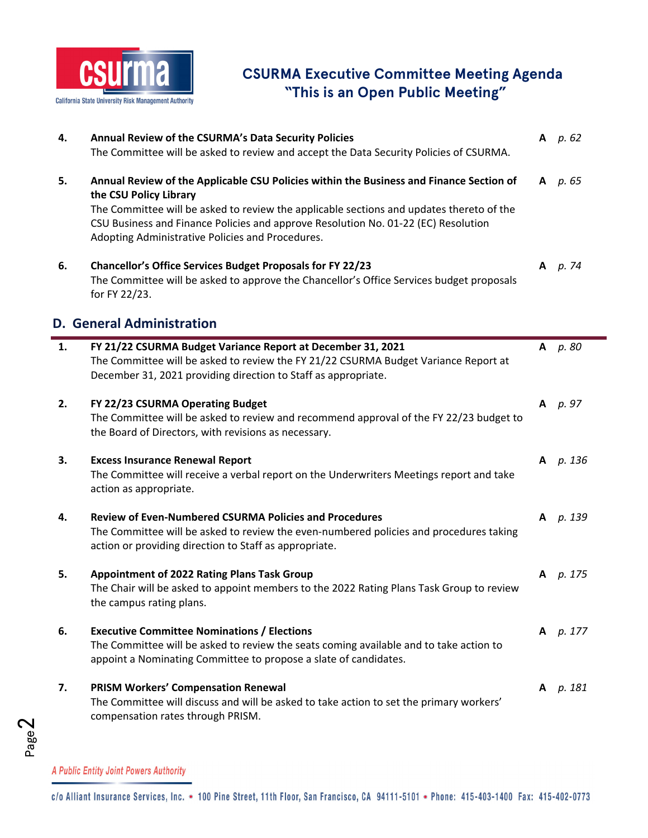

| 4. | Annual Review of the CSURMA's Data Security Policies<br>The Committee will be asked to review and accept the Data Security Policies of CSURMA.                                                                                                                                                                                                          |   | A $p.62$ |
|----|---------------------------------------------------------------------------------------------------------------------------------------------------------------------------------------------------------------------------------------------------------------------------------------------------------------------------------------------------------|---|----------|
| 5. | Annual Review of the Applicable CSU Policies within the Business and Finance Section of<br>the CSU Policy Library<br>The Committee will be asked to review the applicable sections and updates thereto of the<br>CSU Business and Finance Policies and approve Resolution No. 01-22 (EC) Resolution<br>Adopting Administrative Policies and Procedures. |   | A $p.65$ |
| 6. | <b>Chancellor's Office Services Budget Proposals for FY 22/23</b><br>The Committee will be asked to approve the Chancellor's Office Services budget proposals<br>for FY 22/23.                                                                                                                                                                          |   | A p. 74  |
|    | <b>D. General Administration</b>                                                                                                                                                                                                                                                                                                                        |   |          |
| 1. | FY 21/22 CSURMA Budget Variance Report at December 31, 2021<br>The Committee will be asked to review the FY 21/22 CSURMA Budget Variance Report at<br>December 31, 2021 providing direction to Staff as appropriate.                                                                                                                                    | A | р. 80    |
| 2. | FY 22/23 CSURMA Operating Budget<br>The Committee will be asked to review and recommend approval of the FY 22/23 budget to<br>the Board of Directors, with revisions as necessary.                                                                                                                                                                      | A | p. 97    |
| 3. | <b>Excess Insurance Renewal Report</b><br>The Committee will receive a verbal report on the Underwriters Meetings report and take<br>action as appropriate.                                                                                                                                                                                             | A | p. 136   |
| 4. | <b>Review of Even-Numbered CSURMA Policies and Procedures</b><br>The Committee will be asked to review the even-numbered policies and procedures taking<br>action or providing direction to Staff as appropriate.                                                                                                                                       | A | р. 139   |
| 5. | Appointment of 2022 Rating Plans Task Group<br>The Chair will be asked to appoint members to the 2022 Rating Plans Task Group to review<br>the campus rating plans.                                                                                                                                                                                     | A | p. 175   |
| 6. | <b>Executive Committee Nominations / Elections</b><br>The Committee will be asked to review the seats coming available and to take action to<br>appoint a Nominating Committee to propose a slate of candidates.                                                                                                                                        | A | p. 177   |
| 7. | <b>PRISM Workers' Compensation Renewal</b><br>The Committee will discuss and will be asked to take action to set the primary workers'<br>compensation rates through PRISM.                                                                                                                                                                              | A | p. 181   |

Ë

A Public Entity Joint Powers Authority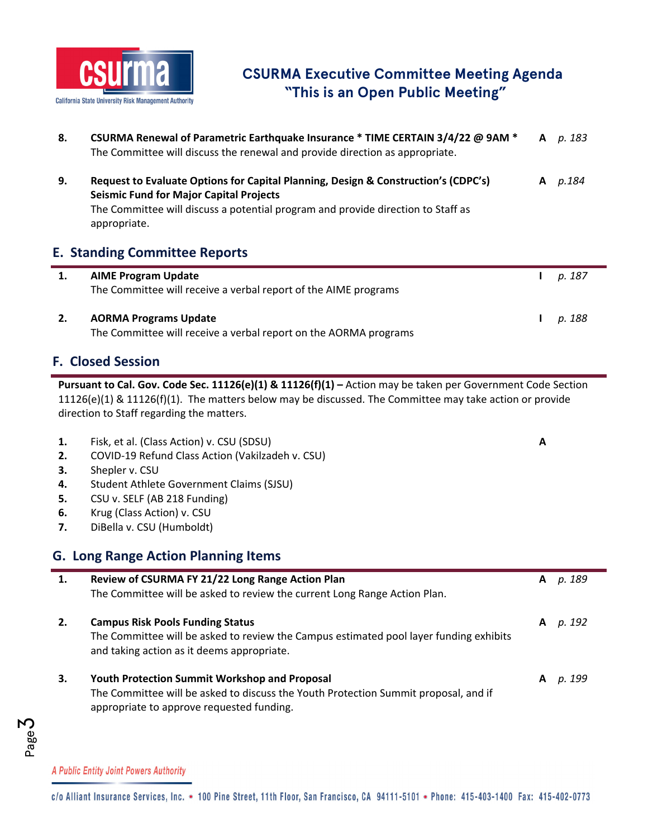

| 8. | CSURMA Renewal of Parametric Earthquake Insurance * TIME CERTAIN 3/4/22 @ 9AM *<br>The Committee will discuss the renewal and provide direction as appropriate.                                                                          | A | p. 183 |
|----|------------------------------------------------------------------------------------------------------------------------------------------------------------------------------------------------------------------------------------------|---|--------|
| 9. | Request to Evaluate Options for Capital Planning, Design & Construction's (CDPC's)<br><b>Seismic Fund for Major Capital Projects</b><br>The Committee will discuss a potential program and provide direction to Staff as<br>appropriate. | A | p.184  |
|    | <b>E. Standing Committee Reports</b>                                                                                                                                                                                                     |   |        |
| 1. | <b>AIME Program Update</b>                                                                                                                                                                                                               |   | p. 187 |
|    | The Committee will receive a verbal report of the AIME programs                                                                                                                                                                          |   |        |

## **F. Closed Session**

**Pursuant to Cal. Gov. Code Sec. 11126(e)(1) & 11126(f)(1) –** Action may be taken per Government Code Section 11126(e)(1) & 11126(f)(1). The matters below may be discussed. The Committee may take action or provide direction to Staff regarding the matters.

| 1.<br>2.<br>З.<br>4.<br>5.<br>6.<br>7. | Fisk, et al. (Class Action) v. CSU (SDSU)<br>COVID-19 Refund Class Action (Vakilzadeh v. CSU)<br>Shepler v. CSU<br>Student Athlete Government Claims (SJSU)<br>CSU v. SELF (AB 218 Funding)<br>Krug (Class Action) v. CSU<br>DiBella v. CSU (Humboldt) | A |        |
|----------------------------------------|--------------------------------------------------------------------------------------------------------------------------------------------------------------------------------------------------------------------------------------------------------|---|--------|
|                                        | <b>G. Long Range Action Planning Items</b>                                                                                                                                                                                                             |   |        |
| 1.                                     | Review of CSURMA FY 21/22 Long Range Action Plan<br>The Committee will be asked to review the current Long Range Action Plan.                                                                                                                          | A | p. 189 |
| 2.                                     | <b>Campus Risk Pools Funding Status</b><br>The Committee will be asked to review the Campus estimated pool layer funding exhibits<br>and taking action as it deems appropriate.                                                                        | A | p. 192 |
| 3.                                     | <b>Youth Protection Summit Workshop and Proposal</b><br>The Committee will be asked to discuss the Youth Protection Summit proposal, and if<br>appropriate to approve requested funding.                                                               | A | p. 199 |

A Public Entity Joint Powers Authority